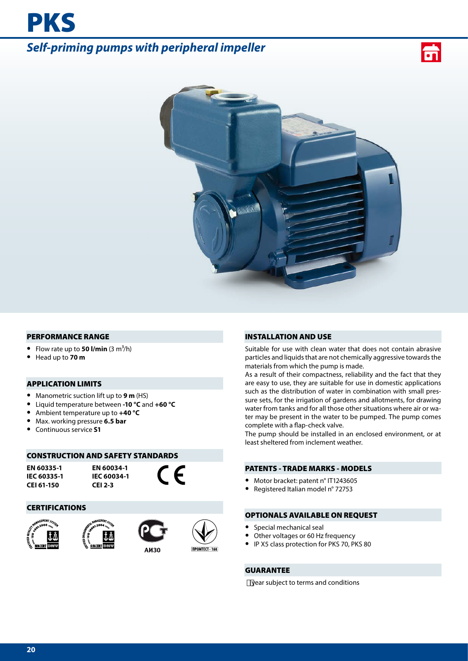# *Self-priming pumps with peripheral impeller*





#### PERFORMANCE RANGE

- Flow rate up to **50 l/min**  $(3 \text{ m}^3/\text{h})$
- **•** Head up to **70 m**

PKS

### APPLICATION LIMITS

- **•** Manometric suction lift up to **9 m** (HS)
- **•** Liquid temperature between **-10 °C** and **+60 °C**
- **•** Ambient temperature up to **+40 °C**
- **•** Max. working pressure **6.5 bar**
- **•** Continuous service **S1**

#### CONSTRUCTION AND SAFETY STANDARDS

**EN 60335-1 IEC 60335-1 CEI 61-150**

**EN 60034-1 IEC 60034-1 CEI 2-3**

 $\epsilon$ 

#### CERTIFICATIONS









#### INSTALLATION AND USE

Suitable for use with clean water that does not contain abrasive particles and liquids that are not chemically aggressive towards the materials from which the pump is made.

As a result of their compactness, reliability and the fact that they are easy to use, they are suitable for use in domestic applications such as the distribution of water in combination with small pressure sets, for the irrigation of gardens and allotments, for drawing water from tanks and for all those other situations where air or water may be present in the water to be pumped. The pump comes complete with a flap-check valve.

The pump should be installed in an enclosed environment, or at least sheltered from inclement weather.

#### PATENTS - TRADE MARKS - MODELS

- **•** Motor bracket: patent n° IT1243605
- **•** Registered Italian model n° 72753

#### OPTIONALS AVAILABLE ON REQUEST

- **•** Special mechanical seal
- **•** Other voltages or 60 Hz frequency
- **•** IP X5 class protection for PKS 70, PKS 80

#### GUARANTEE

year subject to terms and conditions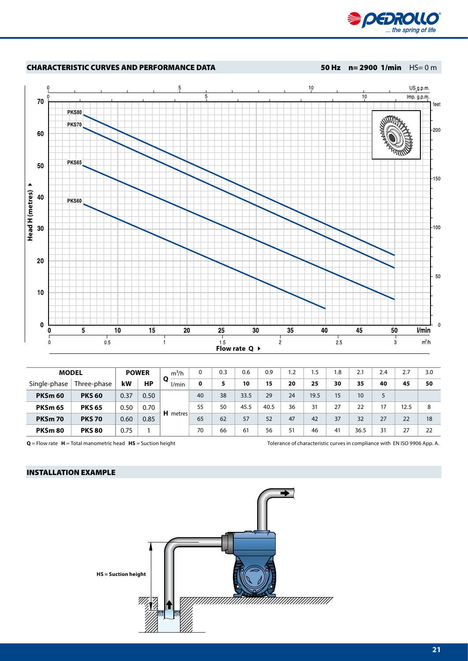

## CHARACTERISTIC CURVES AND PERFORMANCE DATA 50 Hz n= 2900 1/min HS= 0 m



| <b>MODEL</b>       |               | <b>POWER</b> |      | $m^3/h$  | 0  | 0.3 | 0.6  | 0.9  | 1.2 | 1.5  | 1.8 | 2.1  | 2.4 | 2.7  | 3.0 |
|--------------------|---------------|--------------|------|----------|----|-----|------|------|-----|------|-----|------|-----|------|-----|
| Single-phase       | Three-phase   | kW           | НP   | l/min    | 0  | 5   | 10   | 15   | 20  | 25   | 30  | 35   | 40  | 45   | 50  |
| PKSm <sub>60</sub> | <b>PKS 60</b> | 0.37         | 0.50 |          | 40 | 38  | 33.5 | 29   | 24  | 19.5 | 15  | 10   | 5   |      |     |
| <b>PKSm 65</b>     | <b>PKS 65</b> | 0.50         | 0.70 | H metres | 55 | 50  | 45.5 | 40.5 | 36  | 31   | 27  | 22   | 17  | 12.5 | 8   |
| <b>PKSm 70</b>     | <b>PKS 70</b> | 0.60         | 0.85 |          | 65 | 62  | 57   | 52   | 47  | 42   | 37  | 32   | 27  | 22   | 18  |
| PKSm80             | <b>PKS 80</b> | 0.75         |      |          | 70 | 66  | 61   | 56   | 51  | 46   | 41  | 36.5 | 31  | 27   | 22  |

**Q** = Flow rate **H** = Total manometric head **HS** = Suction height Tolerance of characteristic curves in compliance with EN ISO 9906 App. A.

# INSTALLATION EXAMPLE

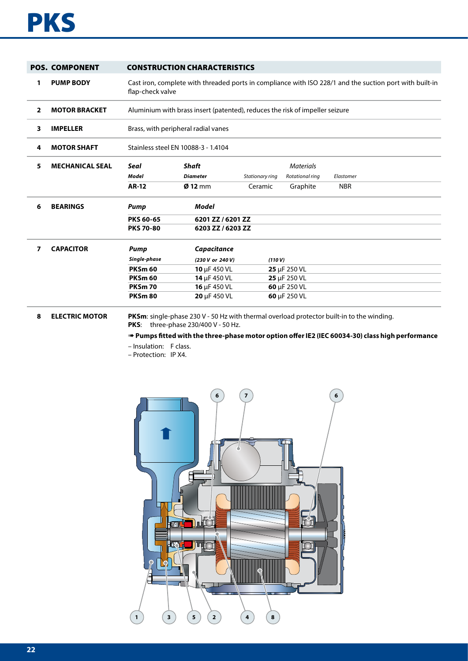# **PKS**

|              | <b>POS. COMPONENT</b>  |                                     | <b>CONSTRUCTION CHARACTERISTICS</b>                                                                     |                 |                           |            |  |  |  |  |  |  |  |
|--------------|------------------------|-------------------------------------|---------------------------------------------------------------------------------------------------------|-----------------|---------------------------|------------|--|--|--|--|--|--|--|
| 1            | <b>PUMP BODY</b>       | flap-check valve                    | Cast iron, complete with threaded ports in compliance with ISO 228/1 and the suction port with built-in |                 |                           |            |  |  |  |  |  |  |  |
| $\mathbf{2}$ | <b>MOTOR BRACKET</b>   |                                     | Aluminium with brass insert (patented), reduces the risk of impeller seizure                            |                 |                           |            |  |  |  |  |  |  |  |
| 3            | <b>IMPELLER</b>        |                                     | Brass, with peripheral radial vanes                                                                     |                 |                           |            |  |  |  |  |  |  |  |
| 4            | <b>MOTOR SHAFT</b>     | Stainless steel EN 10088-3 - 1.4104 |                                                                                                         |                 |                           |            |  |  |  |  |  |  |  |
| 5            | <b>MECHANICAL SEAL</b> | Seal                                |                                                                                                         |                 |                           |            |  |  |  |  |  |  |  |
|              |                        | Model                               | <b>Diameter</b>                                                                                         | Stationary ring | Rotational ring           | Elastomer  |  |  |  |  |  |  |  |
|              |                        | <b>AR-12</b>                        | $Ø$ 12 mm                                                                                               | Ceramic         | Graphite                  | <b>NBR</b> |  |  |  |  |  |  |  |
| 6            | <b>BEARINGS</b>        | <b>Pump</b>                         | Model                                                                                                   |                 |                           |            |  |  |  |  |  |  |  |
|              |                        | <b>PKS 60-65</b>                    | 6201 ZZ / 6201 ZZ                                                                                       |                 |                           |            |  |  |  |  |  |  |  |
|              |                        | <b>PKS 70-80</b>                    | 6203 ZZ / 6203 ZZ                                                                                       |                 |                           |            |  |  |  |  |  |  |  |
| 7            | <b>CAPACITOR</b>       | Pump                                | Capacitance                                                                                             |                 |                           |            |  |  |  |  |  |  |  |
|              |                        | Single-phase                        | (230 V or 240 V)                                                                                        | (110 V)         |                           |            |  |  |  |  |  |  |  |
|              |                        | <b>PKSm 60</b>                      | 10 µF 450 VL                                                                                            |                 | 25 µF 250 VL              |            |  |  |  |  |  |  |  |
|              |                        | <b>PKSm 60</b>                      | 14 µF 450 VL                                                                                            |                 | $25 \mu F 250 \text{ VL}$ |            |  |  |  |  |  |  |  |
|              |                        | <b>PKSm 70</b>                      | 16 µF 450 VL                                                                                            |                 | 60 µF 250 VL              |            |  |  |  |  |  |  |  |
|              |                        | <b>PKSm 80</b>                      | 20 µF 450 VL                                                                                            |                 | 60 µF 250 VL              |            |  |  |  |  |  |  |  |

**8 ELECTRIC MOTOR PKSm**: single-phase 230 V - 50 Hz with thermal overload protector built-in to the winding. **PKS**: three-phase 230/400 V - 50 Hz.

➠ **Pumps fitted with the three-phase motor option offer IE2 (IEC 60034-30) class high performance**

– Insulation: F class.

– Protection: IP X4.